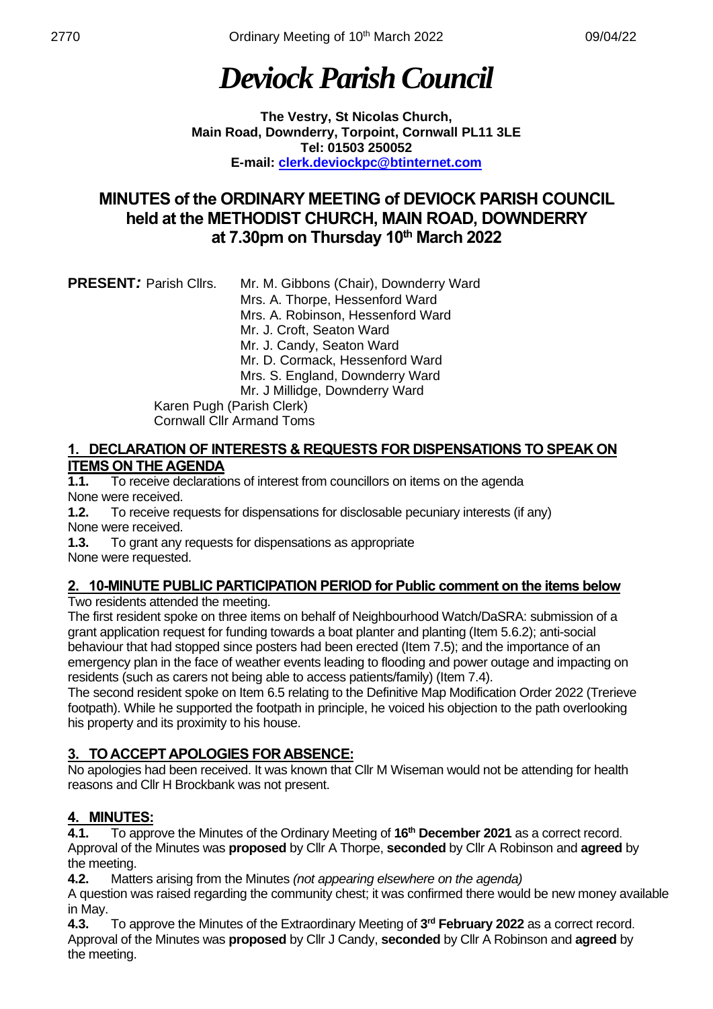# *Deviock Parish Council*

**The Vestry, St Nicolas Church, Main Road, Downderry, Torpoint, Cornwall PL11 3LE Tel: 01503 250052 E-mail: [clerk.deviockpc@btinternet.com](mailto:clerk.deviockpc@btinternet.com)**

## **MINUTES of the ORDINARY MEETING of DEVIOCK PARISH COUNCIL held at the METHODIST CHURCH, MAIN ROAD, DOWNDERRY at 7.30pm on Thursday 10 th March 2022**

| <b>PRESENT: Parish Cllrs.</b> | Mr. M. Gibbons (Chair), Downderry Ward |
|-------------------------------|----------------------------------------|
|                               | Mrs. A. Thorpe, Hessenford Ward        |
|                               | Mrs. A. Robinson, Hessenford Ward      |
|                               | Mr. J. Croft, Seaton Ward              |
|                               | Mr. J. Candy, Seaton Ward              |
|                               | Mr. D. Cormack, Hessenford Ward        |
|                               | Mrs. S. England, Downderry Ward        |
|                               | Mr. J Millidge, Downderry Ward         |
|                               | Karen Pugh (Parish Clerk)              |
|                               | <b>Cornwall Cllr Armand Toms</b>       |

## **1. DECLARATION OF INTERESTS & REQUESTS FOR DISPENSATIONS TO SPEAK ON ITEMS ON THE AGENDA**<br>1.1. To receive declaration

**1.1.** To receive declarations of interest from councillors on items on the agenda None were received.

**1.2.** To receive requests for dispensations for disclosable pecuniary interests (if any) None were received.

**1.3.** To grant any requests for dispensations as appropriate None were requested.

**2. 10-MINUTE PUBLIC PARTICIPATION PERIOD for Public comment on the items below**

Two residents attended the meeting.

The first resident spoke on three items on behalf of Neighbourhood Watch/DaSRA: submission of a grant application request for funding towards a boat planter and planting (Item 5.6.2); anti-social behaviour that had stopped since posters had been erected (Item 7.5); and the importance of an emergency plan in the face of weather events leading to flooding and power outage and impacting on residents (such as carers not being able to access patients/family) (Item 7.4).

The second resident spoke on Item 6.5 relating to the Definitive Map Modification Order 2022 (Trerieve footpath). While he supported the footpath in principle, he voiced his objection to the path overlooking his property and its proximity to his house.

## **3. TO ACCEPT APOLOGIES FOR ABSENCE:**

No apologies had been received. It was known that Cllr M Wiseman would not be attending for health reasons and Cllr H Brockbank was not present.

## **4. MINUTES:**

**4.1.** To approve the Minutes of the Ordinary Meeting of **16 th December 2021** as a correct record. Approval of the Minutes was **proposed** by Cllr A Thorpe, **seconded** by Cllr A Robinson and **agreed** by the meeting.

**4.2.** Matters arising from the Minutes *(not appearing elsewhere on the agenda)*

A question was raised regarding the community chest; it was confirmed there would be new money available in May.

**4.3.** To approve the Minutes of the Extraordinary Meeting of **3 rd February 2022** as a correct record. Approval of the Minutes was **proposed** by Cllr J Candy, **seconded** by Cllr A Robinson and **agreed** by the meeting.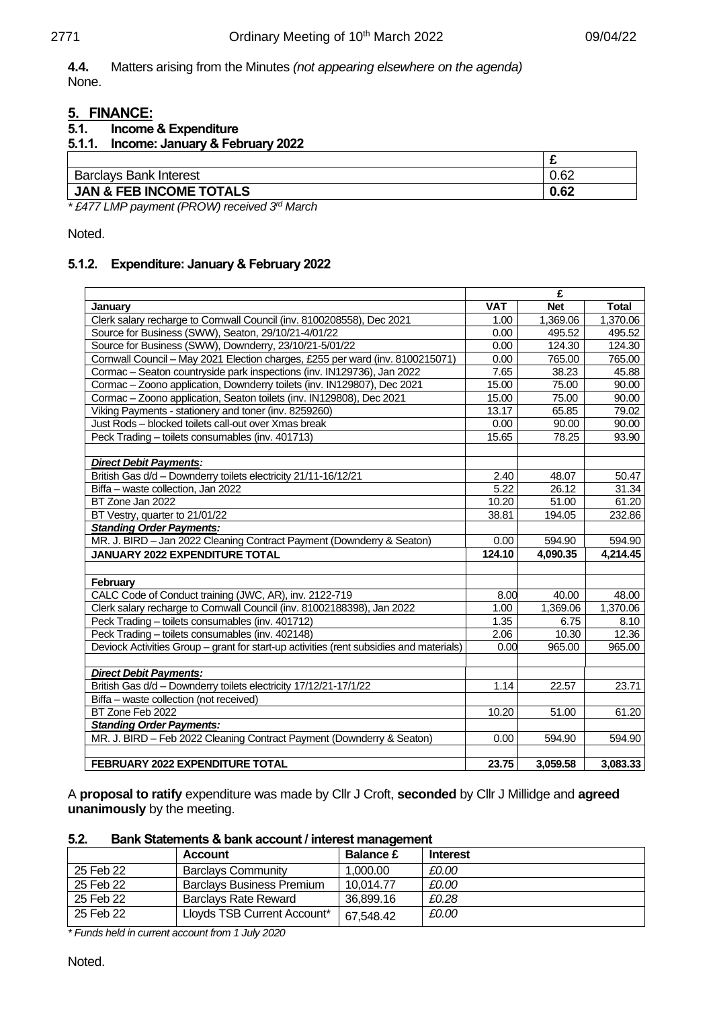**4.4.** Matters arising from the Minutes *(not appearing elsewhere on the agenda)* None.

#### **5. FINANCE:**

| 5.1.<br>Income & Expenditure           |      |
|----------------------------------------|------|
| 5.1.1. Income: January & February 2022 |      |
|                                        |      |
| 0.62<br><b>Barclays Bank Interest</b>  |      |
| <b>JAN &amp; FEB INCOME TOTALS</b>     | 0.62 |

*\* £477 LMP payment (PROW) received 3rd March*

Noted.

#### **5.1.2. Expenditure: January & February 2022**

|                                                                                         | £          |            |              |
|-----------------------------------------------------------------------------------------|------------|------------|--------------|
| January                                                                                 | <b>VAT</b> | <b>Net</b> | <b>Total</b> |
| Clerk salary recharge to Cornwall Council (inv. 8100208558), Dec 2021                   | 1.00       | 1,369.06   | 1,370.06     |
| Source for Business (SWW), Seaton, 29/10/21-4/01/22                                     | 0.00       | 495.52     | 495.52       |
| Source for Business (SWW), Downderry, 23/10/21-5/01/22                                  | 0.00       | 124.30     | 124.30       |
| Cornwall Council - May 2021 Election charges, £255 per ward (inv. 8100215071)           | 0.00       | 765.00     | 765.00       |
| Cormac - Seaton countryside park inspections (inv. IN129736), Jan 2022                  | 7.65       | 38.23      | 45.88        |
| Cormac - Zoono application, Downderry toilets (inv. IN129807), Dec 2021                 | 15.00      | 75.00      | 90.00        |
| Cormac - Zoono application, Seaton toilets (inv. IN129808), Dec 2021                    | 15.00      | 75.00      | 90.00        |
| Viking Payments - stationery and toner (inv. 8259260)                                   | 13.17      | 65.85      | 79.02        |
| Just Rods - blocked toilets call-out over Xmas break                                    | 0.00       | 90.00      | 90.00        |
| Peck Trading - toilets consumables (inv. 401713)                                        | 15.65      | 78.25      | 93.90        |
|                                                                                         |            |            |              |
| <b>Direct Debit Payments:</b>                                                           |            |            |              |
| British Gas d/d - Downderry toilets electricity 21/11-16/12/21                          | 2.40       | 48.07      | 50.47        |
| Biffa - waste collection, Jan 2022                                                      | 5.22       | 26.12      | 31.34        |
| BT Zone Jan 2022                                                                        | 10.20      | 51.00      | 61.20        |
| BT Vestry, quarter to 21/01/22                                                          | 38.81      | 194.05     | 232.86       |
| <b>Standing Order Payments:</b>                                                         |            |            |              |
| MR. J. BIRD - Jan 2022 Cleaning Contract Payment (Downderry & Seaton)                   | 0.00       | 594.90     | 594.90       |
| JANUARY 2022 EXPENDITURE TOTAL                                                          | 124.10     | 4,090.35   | 4,214.45     |
|                                                                                         |            |            |              |
| February                                                                                |            |            |              |
| CALC Code of Conduct training (JWC, AR), inv. 2122-719                                  | 8.00       | 40.00      | 48.00        |
| Clerk salary recharge to Cornwall Council (inv. 81002188398), Jan 2022                  | 1.00       | 1,369.06   | 1,370.06     |
| Peck Trading - toilets consumables (inv. 401712)                                        | 1.35       | 6.75       | 8.10         |
| Peck Trading - toilets consumables (inv. 402148)                                        | 2.06       | 10.30      | 12.36        |
| Deviock Activities Group - grant for start-up activities (rent subsidies and materials) | 0.00       | 965.00     | 965.00       |
|                                                                                         |            |            |              |
| <b>Direct Debit Payments:</b>                                                           |            |            |              |
| British Gas d/d - Downderry toilets electricity 17/12/21-17/1/22                        | 1.14       | 22.57      | 23.71        |
| Biffa - waste collection (not received)                                                 |            |            |              |
| BT Zone Feb 2022                                                                        | 10.20      | 51.00      | 61.20        |
| <b>Standing Order Payments:</b>                                                         |            |            |              |
| MR. J. BIRD - Feb 2022 Cleaning Contract Payment (Downderry & Seaton)                   | 0.00       | 594.90     | 594.90       |
|                                                                                         |            |            |              |
| FEBRUARY 2022 EXPENDITURE TOTAL                                                         | 23.75      | 3,059.58   | 3,083.33     |

A **proposal to ratify** expenditure was made by Cllr J Croft, **seconded** by Cllr J Millidge and **agreed unanimously** by the meeting.

| 5.2. |  |  | Bank Statements & bank account / interest management |
|------|--|--|------------------------------------------------------|
|------|--|--|------------------------------------------------------|

|           | Account                          | <b>Balance £</b> | <b>Interest</b> |
|-----------|----------------------------------|------------------|-----------------|
| 25 Feb 22 | <b>Barclavs Community</b>        | 1.000.00         | £0.00           |
| 25 Feb 22 | <b>Barclays Business Premium</b> | 10.014.77        | £0.00           |
| 25 Feb 22 | <b>Barclavs Rate Reward</b>      | 36.899.16        | £0.28           |
| 25 Feb 22 | Lloyds TSB Current Account*      | 67,548.42        | £0.00           |

*\* Funds held in current account from 1 July 2020*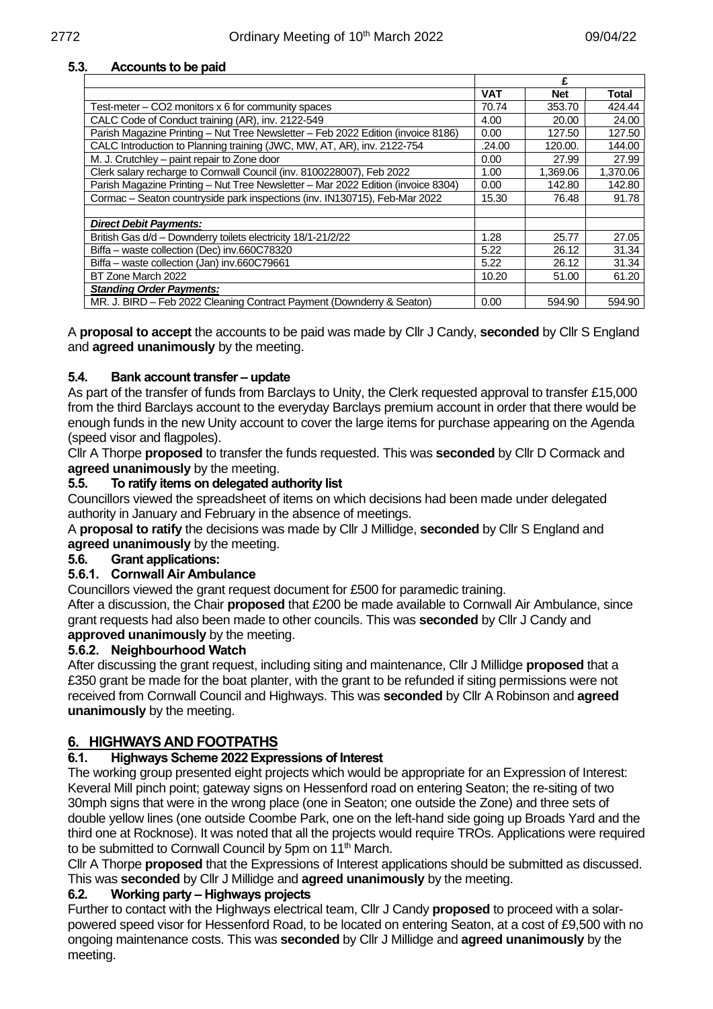## **5.3. Accounts to be paid**

|                                                                                  | <b>VAT</b> | Net      | Total    |
|----------------------------------------------------------------------------------|------------|----------|----------|
| Test-meter $-$ CO2 monitors $x$ 6 for community spaces                           | 70.74      | 353.70   | 424.44   |
| CALC Code of Conduct training (AR), inv. 2122-549                                | 4.00       | 20.00    | 24.00    |
| Parish Magazine Printing - Nut Tree Newsletter - Feb 2022 Edition (invoice 8186) | 0.00       | 127.50   | 127.50   |
| CALC Introduction to Planning training (JWC, MW, AT, AR), inv. 2122-754          | .24.00     | 120.00.  | 144.00   |
| M. J. Crutchley - paint repair to Zone door                                      | 0.00       | 27.99    | 27.99    |
| Clerk salary recharge to Cornwall Council (inv. 8100228007), Feb 2022            | 1.00       | 1,369.06 | 1,370.06 |
| Parish Magazine Printing - Nut Tree Newsletter - Mar 2022 Edition (invoice 8304) | 0.00       | 142.80   | 142.80   |
| Cormac - Seaton countryside park inspections (inv. IN130715), Feb-Mar 2022       |            | 76.48    | 91.78    |
|                                                                                  |            |          |          |
| <b>Direct Debit Payments:</b>                                                    |            |          |          |
| British Gas d/d - Downderry toilets electricity 18/1-21/2/22                     | 1.28       | 25.77    | 27.05    |
| Biffa – waste collection (Dec) inv.660C78320                                     | 5.22       | 26.12    | 31.34    |
| Biffa – waste collection (Jan) inv.660C79661                                     | 5.22       | 26.12    | 31.34    |
| BT Zone March 2022                                                               | 10.20      | 51.00    | 61.20    |
| <b>Standing Order Payments:</b>                                                  |            |          |          |
| MR. J. BIRD - Feb 2022 Cleaning Contract Payment (Downderry & Seaton)            | 0.00       | 594.90   | 594.90   |

A **proposal to accept** the accounts to be paid was made by Cllr J Candy, **seconded** by Cllr S England and **agreed unanimously** by the meeting.

#### **5.4. Bank account transfer – update**

As part of the transfer of funds from Barclays to Unity, the Clerk requested approval to transfer £15,000 from the third Barclays account to the everyday Barclays premium account in order that there would be enough funds in the new Unity account to cover the large items for purchase appearing on the Agenda (speed visor and flagpoles).

Cllr A Thorpe **proposed** to transfer the funds requested. This was **seconded** by Cllr D Cormack and **agreed unanimously** by the meeting.

#### **5.5. To ratify items on delegated authority list**

Councillors viewed the spreadsheet of items on which decisions had been made under delegated authority in January and February in the absence of meetings.

A **proposal to ratify** the decisions was made by Cllr J Millidge, **seconded** by Cllr S England and **agreed unanimously** by the meeting.

#### **5.6. Grant applications:**

#### **5.6.1. Cornwall Air Ambulance**

Councillors viewed the grant request document for £500 for paramedic training.

After a discussion, the Chair **proposed** that £200 be made available to Cornwall Air Ambulance, since grant requests had also been made to other councils. This was **seconded** by Cllr J Candy and **approved unanimously** by the meeting.

#### **5.6.2. Neighbourhood Watch**

After discussing the grant request, including siting and maintenance, Cllr J Millidge **proposed** that a £350 grant be made for the boat planter, with the grant to be refunded if siting permissions were not received from Cornwall Council and Highways. This was **seconded** by Cllr A Robinson and **agreed unanimously** by the meeting.

#### **6. HIGHWAYS AND FOOTPATHS**

#### **6.1. Highways Scheme 2022 Expressions of Interest**

The working group presented eight projects which would be appropriate for an Expression of Interest: Keveral Mill pinch point; gateway signs on Hessenford road on entering Seaton; the re-siting of two 30mph signs that were in the wrong place (one in Seaton; one outside the Zone) and three sets of double yellow lines (one outside Coombe Park, one on the left-hand side going up Broads Yard and the third one at Rocknose). It was noted that all the projects would require TROs. Applications were required to be submitted to Cornwall Council by 5pm on 11<sup>th</sup> March.

Cllr A Thorpe **proposed** that the Expressions of Interest applications should be submitted as discussed. This was **seconded** by Cllr J Millidge and **agreed unanimously** by the meeting.

## **6.2. Working party – Highways projects**

Further to contact with the Highways electrical team, Cllr J Candy **proposed** to proceed with a solarpowered speed visor for Hessenford Road, to be located on entering Seaton, at a cost of £9,500 with no ongoing maintenance costs. This was **seconded** by Cllr J Millidge and **agreed unanimously** by the meeting.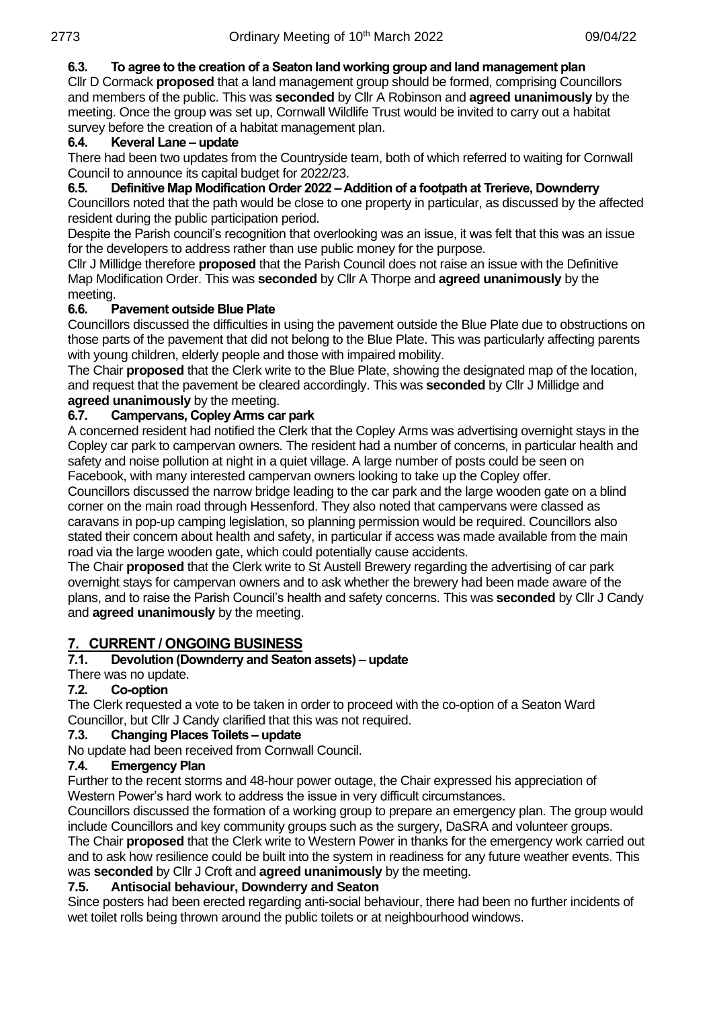## **6.3. To agree to the creation of a Seaton land working group and land management plan**

Cllr D Cormack **proposed** that a land management group should be formed, comprising Councillors and members of the public. This was **seconded** by Cllr A Robinson and **agreed unanimously** by the meeting. Once the group was set up, Cornwall Wildlife Trust would be invited to carry out a habitat survey before the creation of a habitat management plan.

#### **6.4. Keveral Lane – update**

There had been two updates from the Countryside team, both of which referred to waiting for Cornwall Council to announce its capital budget for 2022/23.

#### **6.5. Definitive Map Modification Order 2022 – Addition of a footpath at Trerieve, Downderry**

Councillors noted that the path would be close to one property in particular, as discussed by the affected resident during the public participation period.

Despite the Parish council's recognition that overlooking was an issue, it was felt that this was an issue for the developers to address rather than use public money for the purpose.

Cllr J Millidge therefore **proposed** that the Parish Council does not raise an issue with the Definitive Map Modification Order. This was **seconded** by Cllr A Thorpe and **agreed unanimously** by the meeting.

#### **6.6. Pavement outside Blue Plate**

Councillors discussed the difficulties in using the pavement outside the Blue Plate due to obstructions on those parts of the pavement that did not belong to the Blue Plate. This was particularly affecting parents with young children, elderly people and those with impaired mobility.

The Chair **proposed** that the Clerk write to the Blue Plate, showing the designated map of the location, and request that the pavement be cleared accordingly. This was **seconded** by Cllr J Millidge and **agreed unanimously** by the meeting.

## **6.7. Campervans, Copley Arms car park**

A concerned resident had notified the Clerk that the Copley Arms was advertising overnight stays in the Copley car park to campervan owners. The resident had a number of concerns, in particular health and safety and noise pollution at night in a quiet village. A large number of posts could be seen on Facebook, with many interested campervan owners looking to take up the Copley offer.

Councillors discussed the narrow bridge leading to the car park and the large wooden gate on a blind corner on the main road through Hessenford. They also noted that campervans were classed as caravans in pop-up camping legislation, so planning permission would be required. Councillors also stated their concern about health and safety, in particular if access was made available from the main road via the large wooden gate, which could potentially cause accidents.

The Chair **proposed** that the Clerk write to St Austell Brewery regarding the advertising of car park overnight stays for campervan owners and to ask whether the brewery had been made aware of the plans, and to raise the Parish Council's health and safety concerns. This was **seconded** by Cllr J Candy and **agreed unanimously** by the meeting.

## **7. CURRENT / ONGOING BUSINESS**

#### **7.1. Devolution (Downderry and Seaton assets) – update**

There was no update.

## **7.2. Co-option**

The Clerk requested a vote to be taken in order to proceed with the co-option of a Seaton Ward Councillor, but Cllr J Candy clarified that this was not required.

#### **7.3. Changing Places Toilets – update**

No update had been received from Cornwall Council.

## **7.4. Emergency Plan**

Further to the recent storms and 48-hour power outage, the Chair expressed his appreciation of Western Power's hard work to address the issue in very difficult circumstances.

Councillors discussed the formation of a working group to prepare an emergency plan. The group would include Councillors and key community groups such as the surgery, DaSRA and volunteer groups.

The Chair **proposed** that the Clerk write to Western Power in thanks for the emergency work carried out and to ask how resilience could be built into the system in readiness for any future weather events. This was **seconded** by Cllr J Croft and **agreed unanimously** by the meeting.

## **7.5. Antisocial behaviour, Downderry and Seaton**

Since posters had been erected regarding anti-social behaviour, there had been no further incidents of wet toilet rolls being thrown around the public toilets or at neighbourhood windows.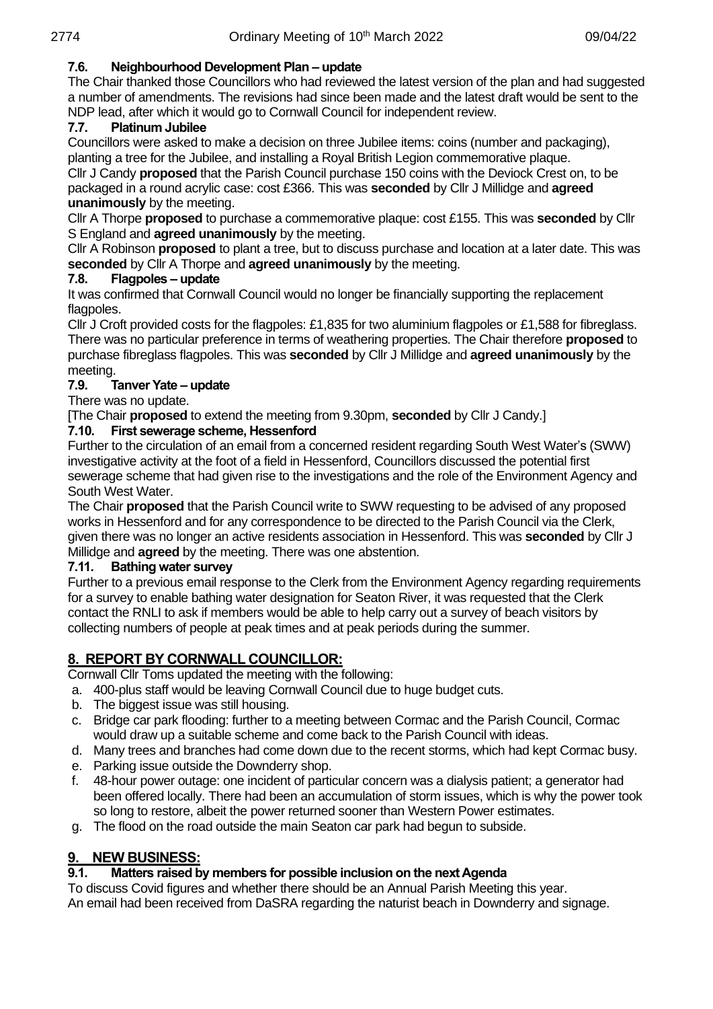## **7.6. Neighbourhood Development Plan – update**

The Chair thanked those Councillors who had reviewed the latest version of the plan and had suggested a number of amendments. The revisions had since been made and the latest draft would be sent to the NDP lead, after which it would go to Cornwall Council for independent review.

## **7.7. Platinum Jubilee**

Councillors were asked to make a decision on three Jubilee items: coins (number and packaging), planting a tree for the Jubilee, and installing a Royal British Legion commemorative plaque.

Cllr J Candy **proposed** that the Parish Council purchase 150 coins with the Deviock Crest on, to be packaged in a round acrylic case: cost £366. This was **seconded** by Cllr J Millidge and **agreed unanimously** by the meeting.

Cllr A Thorpe **proposed** to purchase a commemorative plaque: cost £155. This was **seconded** by Cllr S England and **agreed unanimously** by the meeting.

Cllr A Robinson **proposed** to plant a tree, but to discuss purchase and location at a later date. This was **seconded** by Cllr A Thorpe and **agreed unanimously** by the meeting.

## **7.8. Flagpoles – update**

It was confirmed that Cornwall Council would no longer be financially supporting the replacement flagpoles.

Cllr J Croft provided costs for the flagpoles: £1,835 for two aluminium flagpoles or £1,588 for fibreglass. There was no particular preference in terms of weathering properties. The Chair therefore **proposed** to purchase fibreglass flagpoles. This was **seconded** by Cllr J Millidge and **agreed unanimously** by the meeting.

## **7.9. Tanver Yate – update**

There was no update.

[The Chair **proposed** to extend the meeting from 9.30pm, **seconded** by Cllr J Candy.]

## **7.10. First sewerage scheme, Hessenford**

Further to the circulation of an email from a concerned resident regarding South West Water's (SWW) investigative activity at the foot of a field in Hessenford, Councillors discussed the potential first sewerage scheme that had given rise to the investigations and the role of the Environment Agency and South West Water.

The Chair **proposed** that the Parish Council write to SWW requesting to be advised of any proposed works in Hessenford and for any correspondence to be directed to the Parish Council via the Clerk, given there was no longer an active residents association in Hessenford. This was **seconded** by Cllr J Millidge and **agreed** by the meeting. There was one abstention.

## **7.11. Bathing water survey**

Further to a previous email response to the Clerk from the Environment Agency regarding requirements for a survey to enable bathing water designation for Seaton River, it was requested that the Clerk contact the RNLI to ask if members would be able to help carry out a survey of beach visitors by collecting numbers of people at peak times and at peak periods during the summer.

## **8. REPORT BY CORNWALL COUNCILLOR:**

Cornwall Cllr Toms updated the meeting with the following:

- a. 400-plus staff would be leaving Cornwall Council due to huge budget cuts.
- b. The biggest issue was still housing.
- c. Bridge car park flooding: further to a meeting between Cormac and the Parish Council, Cormac would draw up a suitable scheme and come back to the Parish Council with ideas.
- d. Many trees and branches had come down due to the recent storms, which had kept Cormac busy.
- e. Parking issue outside the Downderry shop.
- f. 48-hour power outage: one incident of particular concern was a dialysis patient; a generator had been offered locally. There had been an accumulation of storm issues, which is why the power took so long to restore, albeit the power returned sooner than Western Power estimates.
- g. The flood on the road outside the main Seaton car park had begun to subside.

## **9. NEW BUSINESS:**

## **9.1. Matters raised by members for possible inclusion on the next Agenda**

To discuss Covid figures and whether there should be an Annual Parish Meeting this year. An email had been received from DaSRA regarding the naturist beach in Downderry and signage.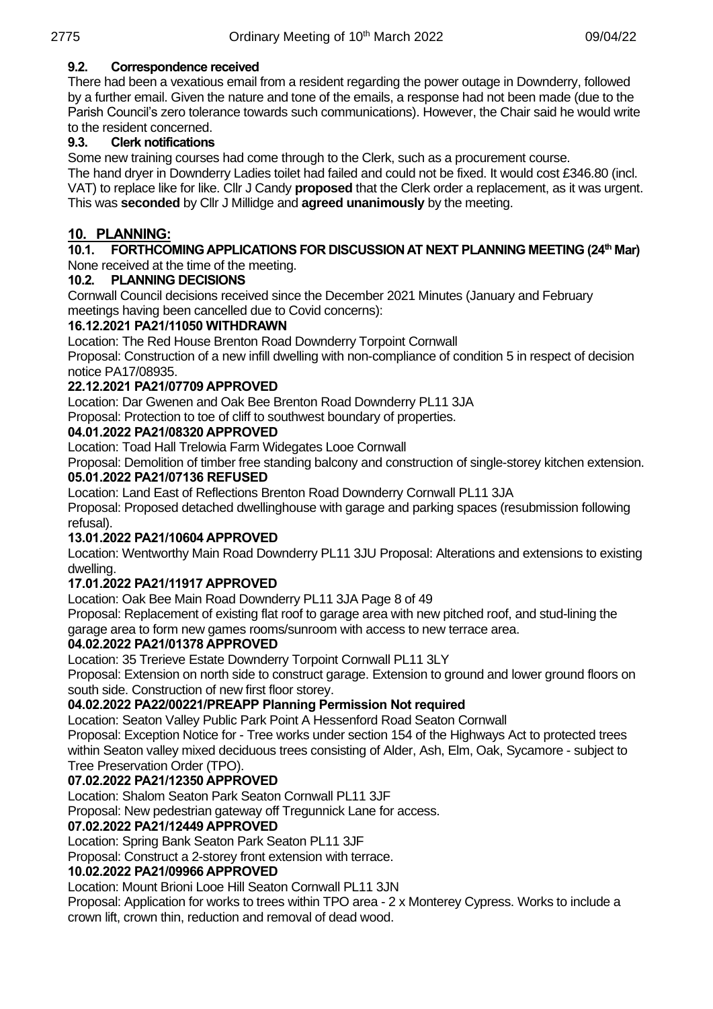## **9.2. Correspondence received**

There had been a vexatious email from a resident regarding the power outage in Downderry, followed by a further email. Given the nature and tone of the emails, a response had not been made (due to the Parish Council's zero tolerance towards such communications). However, the Chair said he would write to the resident concerned.

## **9.3. Clerk notifications**

Some new training courses had come through to the Clerk, such as a procurement course.

The hand dryer in Downderry Ladies toilet had failed and could not be fixed. It would cost £346.80 (incl. VAT) to replace like for like. Cllr J Candy **proposed** that the Clerk order a replacement, as it was urgent. This was **seconded** by Cllr J Millidge and **agreed unanimously** by the meeting.

## **10. PLANNING:**

#### **10.1. FORTHCOMING APPLICATIONS FOR DISCUSSION AT NEXT PLANNING MEETING (24th Mar)** None received at the time of the meeting.

## **10.2. PLANNING DECISIONS**

Cornwall Council decisions received since the December 2021 Minutes (January and February meetings having been cancelled due to Covid concerns):

#### **16.12.2021 PA21/11050 WITHDRAWN**

Location: The Red House Brenton Road Downderry Torpoint Cornwall

Proposal: Construction of a new infill dwelling with non-compliance of condition 5 in respect of decision notice PA17/08935.

#### **22.12.2021 PA21/07709 APPROVED**

Location: Dar Gwenen and Oak Bee Brenton Road Downderry PL11 3JA

Proposal: Protection to toe of cliff to southwest boundary of properties.

#### **04.01.2022 PA21/08320 APPROVED**

Location: Toad Hall Trelowia Farm Widegates Looe Cornwall

Proposal: Demolition of timber free standing balcony and construction of single-storey kitchen extension. **05.01.2022 PA21/07136 REFUSED** 

Location: Land East of Reflections Brenton Road Downderry Cornwall PL11 3JA

Proposal: Proposed detached dwellinghouse with garage and parking spaces (resubmission following refusal).

#### **13.01.2022 PA21/10604 APPROVED**

Location: Wentworthy Main Road Downderry PL11 3JU Proposal: Alterations and extensions to existing dwelling.

## **17.01.2022 PA21/11917 APPROVED**

Location: Oak Bee Main Road Downderry PL11 3JA Page 8 of 49

Proposal: Replacement of existing flat roof to garage area with new pitched roof, and stud-lining the garage area to form new games rooms/sunroom with access to new terrace area.

#### **04.02.2022 PA21/01378 APPROVED**

Location: 35 Trerieve Estate Downderry Torpoint Cornwall PL11 3LY

Proposal: Extension on north side to construct garage. Extension to ground and lower ground floors on south side. Construction of new first floor storey.

#### **04.02.2022 PA22/00221/PREAPP Planning Permission Not required**

Location: Seaton Valley Public Park Point A Hessenford Road Seaton Cornwall

Proposal: Exception Notice for - Tree works under section 154 of the Highways Act to protected trees within Seaton valley mixed deciduous trees consisting of Alder, Ash, Elm, Oak, Sycamore - subject to Tree Preservation Order (TPO).

## **07.02.2022 PA21/12350 APPROVED**

Location: Shalom Seaton Park Seaton Cornwall PL11 3JF

Proposal: New pedestrian gateway off Tregunnick Lane for access.

#### **07.02.2022 PA21/12449 APPROVED**

Location: Spring Bank Seaton Park Seaton PL11 3JF

Proposal: Construct a 2-storey front extension with terrace.

#### **10.02.2022 PA21/09966 APPROVED**

Location: Mount Brioni Looe Hill Seaton Cornwall PL11 3JN

Proposal: Application for works to trees within TPO area - 2 x Monterey Cypress. Works to include a crown lift, crown thin, reduction and removal of dead wood.